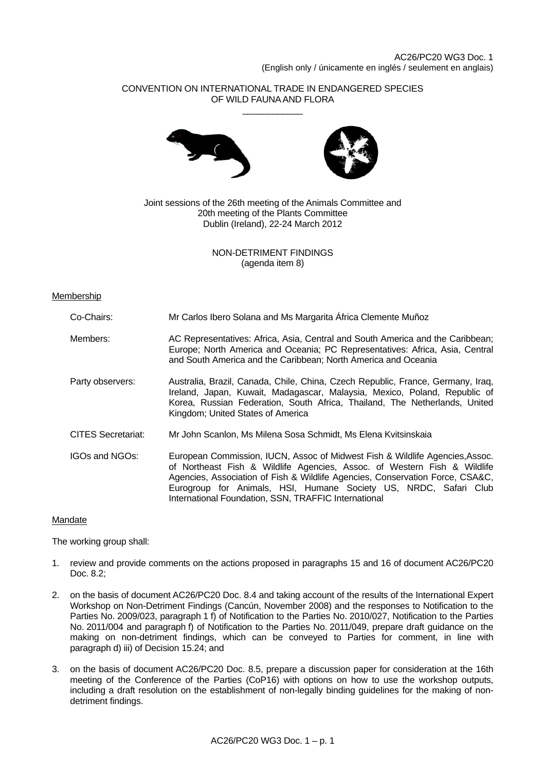# CONVENTION ON INTERNATIONAL TRADE IN ENDANGERED SPECIES OF WILD FAUNA AND FLORA \_\_\_\_\_\_\_\_\_\_\_\_





Joint sessions of the 26th meeting of the Animals Committee and 20th meeting of the Plants Committee Dublin (Ireland), 22-24 March 2012

> NON-DETRIMENT FINDINGS (agenda item 8)

### Membership

| Co-Chairs:                | Mr Carlos Ibero Solana and Ms Margarita África Clemente Muñoz                                                                                                                                                                                                                                                                                                         |
|---------------------------|-----------------------------------------------------------------------------------------------------------------------------------------------------------------------------------------------------------------------------------------------------------------------------------------------------------------------------------------------------------------------|
| Members:                  | AC Representatives: Africa, Asia, Central and South America and the Caribbean;<br>Europe; North America and Oceania; PC Representatives: Africa, Asia, Central<br>and South America and the Caribbean; North America and Oceania                                                                                                                                      |
| Party observers:          | Australia, Brazil, Canada, Chile, China, Czech Republic, France, Germany, Iraq,<br>Ireland, Japan, Kuwait, Madagascar, Malaysia, Mexico, Poland, Republic of<br>Korea, Russian Federation, South Africa, Thailand, The Netherlands, United<br>Kingdom; United States of America                                                                                       |
| <b>CITES Secretariat:</b> | Mr John Scanlon, Ms Milena Sosa Schmidt, Ms Elena Kvitsinskaia                                                                                                                                                                                                                                                                                                        |
| IGOs and NGOs:            | European Commission, IUCN, Assoc of Midwest Fish & Wildlife Agencies, Assoc.<br>of Northeast Fish & Wildlife Agencies, Assoc. of Western Fish & Wildlife<br>Agencies, Association of Fish & Wildlife Agencies, Conservation Force, CSA&C,<br>Eurogroup for Animals, HSI, Humane Society US, NRDC, Safari Club<br>International Foundation, SSN, TRAFFIC International |

### Mandate

The working group shall:

- 1. review and provide comments on the actions proposed in paragraphs 15 and 16 of document AC26/PC20 Doc. 8.2;
- 2. on the basis of document AC26/PC20 Doc. 8.4 and taking account of the results of the International Expert Workshop on Non-Detriment Findings (Cancún, November 2008) and the responses to Notification to the Parties No. 2009/023, paragraph 1 f) of Notification to the Parties No. 2010/027, Notification to the Parties No. 2011/004 and paragraph f) of Notification to the Parties No. 2011/049, prepare draft guidance on the making on non-detriment findings, which can be conveyed to Parties for comment, in line with paragraph d) iii) of Decision 15.24; and
- 3. on the basis of document AC26/PC20 Doc. 8.5, prepare a discussion paper for consideration at the 16th meeting of the Conference of the Parties (CoP16) with options on how to use the workshop outputs, including a draft resolution on the establishment of non-legally binding guidelines for the making of nondetriment findings.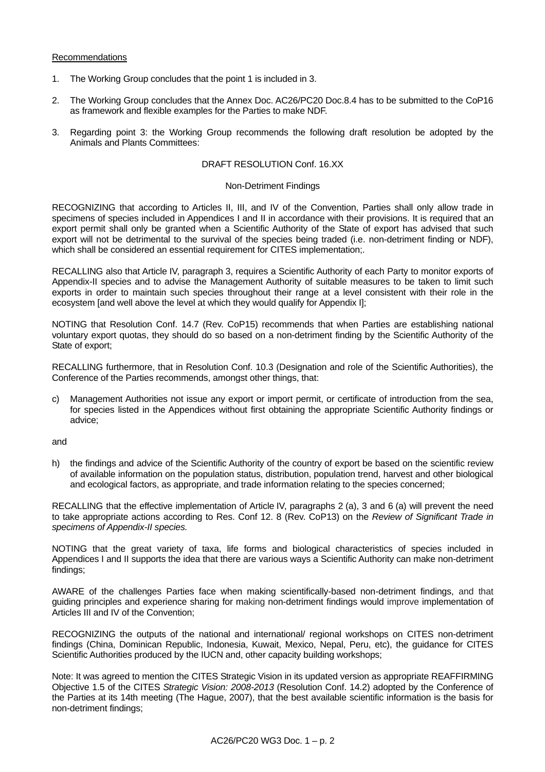# Recommendations

- 1. The Working Group concludes that the point 1 is included in 3.
- 2. The Working Group concludes that the Annex Doc. AC26/PC20 Doc.8.4 has to be submitted to the CoP16 as framework and flexible examples for the Parties to make NDF.
- 3. Regarding point 3: the Working Group recommends the following draft resolution be adopted by the Animals and Plants Committees:

### DRAFT RESOLUTION Conf. 16.XX

### Non-Detriment Findings

RECOGNIZING that according to Articles II, III, and IV of the Convention, Parties shall only allow trade in specimens of species included in Appendices I and II in accordance with their provisions. It is required that an export permit shall only be granted when a Scientific Authority of the State of export has advised that such export will not be detrimental to the survival of the species being traded (i.e. non-detriment finding or NDF), which shall be considered an essential requirement for CITES implementation;.

RECALLING also that Article IV, paragraph 3, requires a Scientific Authority of each Party to monitor exports of Appendix-II species and to advise the Management Authority of suitable measures to be taken to limit such exports in order to maintain such species throughout their range at a level consistent with their role in the ecosystem [and well above the level at which they would qualify for Appendix I];

NOTING that Resolution Conf. 14.7 (Rev. CoP15) recommends that when Parties are establishing national voluntary export quotas, they should do so based on a non-detriment finding by the Scientific Authority of the State of export;

RECALLING furthermore, that in Resolution Conf. 10.3 (Designation and role of the Scientific Authorities), the Conference of the Parties recommends, amongst other things, that:

c) Management Authorities not issue any export or import permit, or certificate of introduction from the sea, for species listed in the Appendices without first obtaining the appropriate Scientific Authority findings or advice;

and

h) the findings and advice of the Scientific Authority of the country of export be based on the scientific review of available information on the population status, distribution, population trend, harvest and other biological and ecological factors, as appropriate, and trade information relating to the species concerned;

RECALLING that the effective implementation of Article IV, paragraphs 2 (a), 3 and 6 (a) will prevent the need to take appropriate actions according to Res. Conf 12. 8 (Rev. CoP13) on the *Review of Significant Trade in specimens of Appendix-II species.*

NOTING that the great variety of taxa, life forms and biological characteristics of species included in Appendices I and II supports the idea that there are various ways a Scientific Authority can make non-detriment findings;

AWARE of the challenges Parties face when making scientifically-based non-detriment findings, and that guiding principles and experience sharing for making non-detriment findings would improve implementation of Articles III and IV of the Convention;

RECOGNIZING the outputs of the national and international/ regional workshops on CITES non-detriment findings (China, Dominican Republic, Indonesia, Kuwait, Mexico, Nepal, Peru, etc), the guidance for CITES Scientific Authorities produced by the IUCN and, other capacity building workshops;

Note: It was agreed to mention the CITES Strategic Vision in its updated version as appropriate REAFFIRMING Objective 1.5 of the CITES *Strategic Vision: 2008-2013* (Resolution Conf. 14.2) adopted by the Conference of the Parties at its 14th meeting (The Hague, 2007), that the best available scientific information is the basis for non-detriment findings;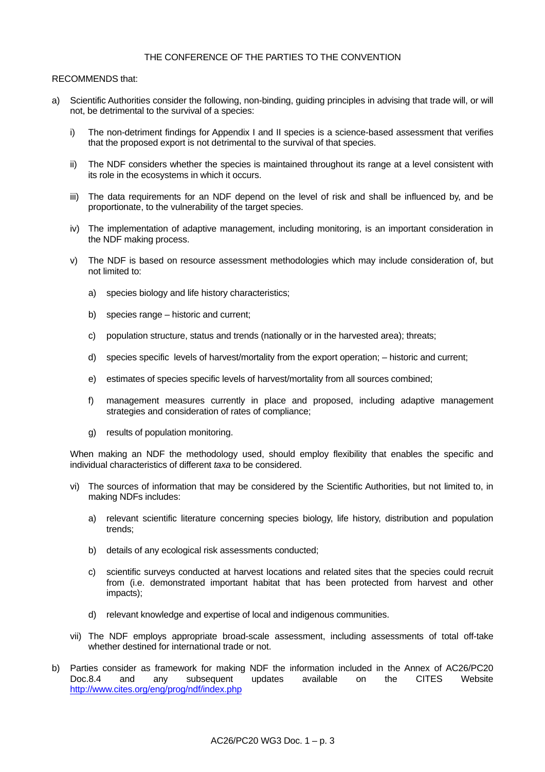# THE CONFERENCE OF THE PARTIES TO THE CONVENTION

## RECOMMENDS that:

- a) Scientific Authorities consider the following, non-binding, guiding principles in advising that trade will, or will not, be detrimental to the survival of a species:
	- i) The non-detriment findings for Appendix I and II species is a science-based assessment that verifies that the proposed export is not detrimental to the survival of that species.
	- ii) The NDF considers whether the species is maintained throughout its range at a level consistent with its role in the ecosystems in which it occurs.
	- iii) The data requirements for an NDF depend on the level of risk and shall be influenced by, and be proportionate, to the vulnerability of the target species.
	- iv) The implementation of adaptive management, including monitoring, is an important consideration in the NDF making process.
	- v) The NDF is based on resource assessment methodologies which may include consideration of, but not limited to:
		- a) species biology and life history characteristics;
		- b) species range historic and current;
		- c) population structure, status and trends (nationally or in the harvested area); threats;
		- d) species specific levels of harvest/mortality from the export operation; historic and current;
		- e) estimates of species specific levels of harvest/mortality from all sources combined;
		- f) management measures currently in place and proposed, including adaptive management strategies and consideration of rates of compliance;
		- g) results of population monitoring.

 When making an NDF the methodology used, should employ flexibility that enables the specific and individual characteristics of different *taxa* to be considered.

- vi) The sources of information that may be considered by the Scientific Authorities, but not limited to, in making NDFs includes:
	- a) relevant scientific literature concerning species biology, life history, distribution and population trends;
	- b) details of any ecological risk assessments conducted;
	- c) scientific surveys conducted at harvest locations and related sites that the species could recruit from (i.e. demonstrated important habitat that has been protected from harvest and other impacts);
	- d) relevant knowledge and expertise of local and indigenous communities.
- vii) The NDF employs appropriate broad-scale assessment, including assessments of total off-take whether destined for international trade or not.
- b) Parties consider as framework for making NDF the information included in the Annex of AC26/PC20 Doc.8.4 and any subsequent updates available on the CITES Website <http://www.cites.org/eng/prog/ndf/index.php>